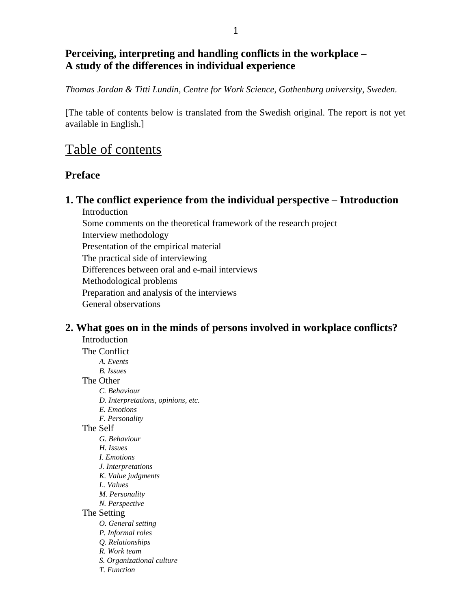## **Perceiving, interpreting and handling conflicts in the workplace – A study of the differences in individual experience**

*Thomas Jordan & Titti Lundin, Centre for Work Science, Gothenburg university, Sweden.*

[The table of contents below is translated from the Swedish original. The report is not yet available in English.]

# Table of contents

## **Preface**

**1. The conflict experience from the individual perspective – Introduction** Introduction

Some comments on the theoretical framework of the research project Interview methodology Presentation of the empirical material The practical side of interviewing Differences between oral and e-mail interviews Methodological problems Preparation and analysis of the interviews General observations

### **2. What goes on in the minds of persons involved in workplace conflicts?** Introduction

The Conflict *A. Events B. Issues* The Other *C. Behaviour D. Interpretations, opinions, etc. E. Emotions F. Personality* The Self *G. Behaviour H. Issues I. Emotions J. Interpretations K. Value judgments L. Values M. Personality N. Perspective* The Setting *O. General setting P. Informal roles Q. Relationships R. Work team S. Organizational culture T. Function*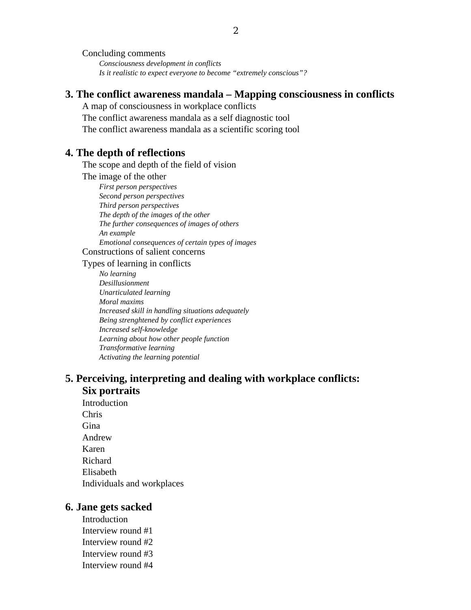Concluding comments *Consciousness development in conflicts Is it realistic to expect everyone to become "extremely conscious"?*

### **3. The conflict awareness mandala – Mapping consciousness in conflicts**

A map of consciousness in workplace conflicts The conflict awareness mandala as a self diagnostic tool The conflict awareness mandala as a scientific scoring tool

### **4. The depth of reflections**

The scope and depth of the field of vision

The image of the other

*First person perspectives Second person perspectives Third person perspectives The depth of the images of the other The further consequences of images of others An example Emotional consequences of certain types of images* Constructions of salient concerns

Types of learning in conflicts

*No learning Desillusionment Unarticulated learning Moral maxims Increased skill in handling situations adequately Being strenghtened by conflict experiences Increased self-knowledge Learning about how other people function Transformative learning Activating the learning potential*

## **5. Perceiving, interpreting and dealing with workplace conflicts: Six portraits**

Introduction Chris Gina Andrew Karen Richard Elisabeth Individuals and workplaces

### **6. Jane gets sacked**

Introduction Interview round #1 Interview round #2 Interview round #3 Interview round #4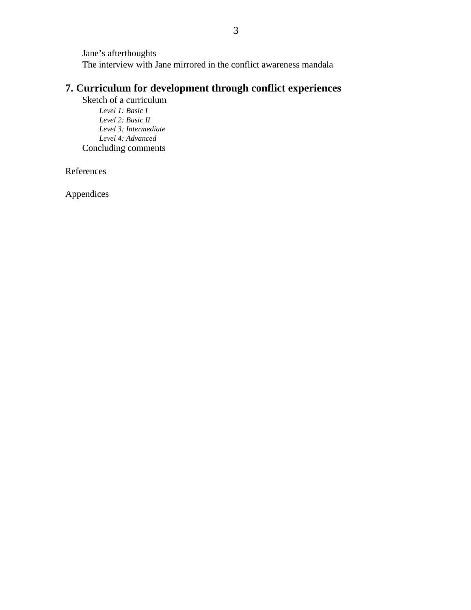Jane's afterthoughts The interview with Jane mirrored in the conflict awareness mandala

## **7. Curriculum for development through conflict experiences**

Sketch of a curriculum *Level 1: Basic I Level 2: Basic II Level 3: Intermediate Level 4: Advanced* Concluding comments

References

Appendices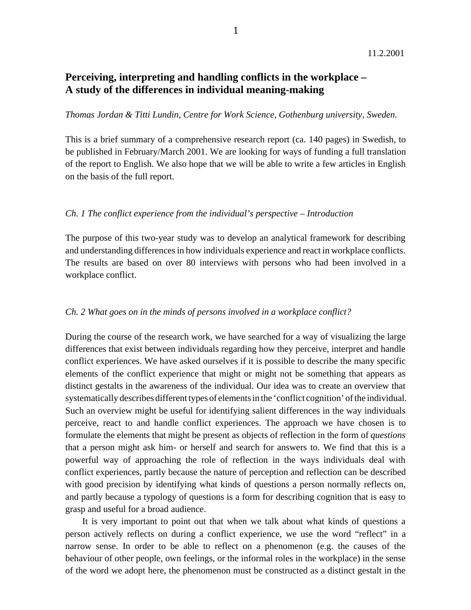### **Perceiving, interpreting and handling conflicts in the workplace – A study of the differences in individual meaning-making**

#### *Thomas Jordan & Titti Lundin, Centre for Work Science, Gothenburg university, Sweden.*

1

This is a brief summary of a comprehensive research report (ca. 140 pages) in Swedish, to be published in February/March 2001. We are looking for ways of funding a full translation of the report to English. We also hope that we will be able to write a few articles in English on the basis of the full report.

### *Ch. 1 The conflict experience from the individual's perspective – Introduction*

The purpose of this two-year study was to develop an analytical framework for describing and understanding differences in how individuals experience and react in workplace conflicts. The results are based on over 80 interviews with persons who had been involved in a workplace conflict.

### *Ch. 2 What goes on in the minds of persons involved in a workplace conflict?*

During the course of the research work, we have searched for a way of visualizing the large differences that exist between individuals regarding how they perceive, interpret and handle conflict experiences. We have asked ourselves if it is possible to describe the many specific elements of the conflict experience that might or might not be something that appears as distinct gestalts in the awareness of the individual. Our idea was to create an overview that systematically describes different types of elements in the 'conflict cognition' of the individual. Such an overview might be useful for identifying salient differences in the way individuals perceive, react to and handle conflict experiences. The approach we have chosen is to formulate the elements that might be present as objects of reflection in the form of *questions* that a person might ask him- or herself and search for answers to. We find that this is a powerful way of approaching the role of reflection in the ways individuals deal with conflict experiences, partly because the nature of perception and reflection can be described with good precision by identifying what kinds of questions a person normally reflects on, and partly because a typology of questions is a form for describing cognition that is easy to grasp and useful for a broad audience.

It is very important to point out that when we talk about what kinds of questions a person actively reflects on during a conflict experience, we use the word "reflect" in a narrow sense. In order to be able to reflect on a phenomenon (e.g. the causes of the behaviour of other people, own feelings, or the informal roles in the workplace) in the sense of the word we adopt here, the phenomenon must be constructed as a distinct gestalt in the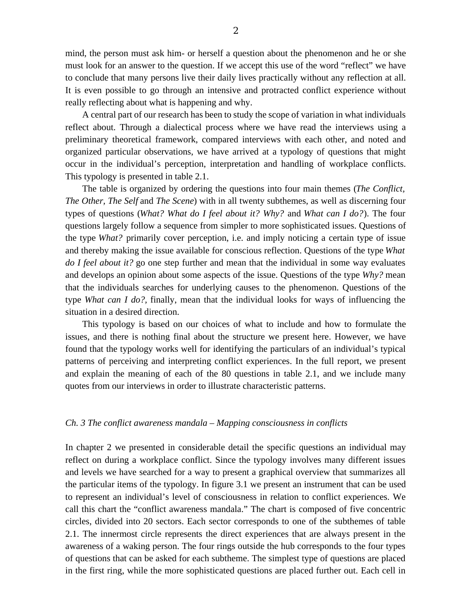mind, the person must ask him- or herself a question about the phenomenon and he or she must look for an answer to the question. If we accept this use of the word "reflect" we have to conclude that many persons live their daily lives practically without any reflection at all. It is even possible to go through an intensive and protracted conflict experience without really reflecting about what is happening and why.

A central part of our research has been to study the scope of variation in what individuals reflect about. Through a dialectical process where we have read the interviews using a preliminary theoretical framework, compared interviews with each other, and noted and organized particular observations, we have arrived at a typology of questions that might occur in the individual's perception, interpretation and handling of workplace conflicts. This typology is presented in table 2.1.

The table is organized by ordering the questions into four main themes (*The Conflict, The Other, The Self* and *The Scene*) with in all twenty subthemes, as well as discerning four types of questions (*What? What do I feel about it? Why?* and *What can I do?*). The four questions largely follow a sequence from simpler to more sophisticated issues. Questions of the type *What?* primarily cover perception, i.e. and imply noticing a certain type of issue and thereby making the issue available for conscious reflection. Questions of the type *What do I feel about it?* go one step further and mean that the individual in some way evaluates and develops an opinion about some aspects of the issue. Questions of the type *Why?* mean that the individuals searches for underlying causes to the phenomenon. Questions of the type *What can I do?,* finally, mean that the individual looks for ways of influencing the situation in a desired direction.

This typology is based on our choices of what to include and how to formulate the issues, and there is nothing final about the structure we present here. However, we have found that the typology works well for identifying the particulars of an individual's typical patterns of perceiving and interpreting conflict experiences. In the full report, we present and explain the meaning of each of the 80 questions in table 2.1, and we include many quotes from our interviews in order to illustrate characteristic patterns.

#### *Ch. 3 The conflict awareness mandala – Mapping consciousness in conflicts*

In chapter 2 we presented in considerable detail the specific questions an individual may reflect on during a workplace conflict. Since the typology involves many different issues and levels we have searched for a way to present a graphical overview that summarizes all the particular items of the typology. In figure 3.1 we present an instrument that can be used to represent an individual's level of consciousness in relation to conflict experiences. We call this chart the "conflict awareness mandala." The chart is composed of five concentric circles, divided into 20 sectors. Each sector corresponds to one of the subthemes of table 2.1. The innermost circle represents the direct experiences that are always present in the awareness of a waking person. The four rings outside the hub corresponds to the four types of questions that can be asked for each subtheme. The simplest type of questions are placed in the first ring, while the more sophisticated questions are placed further out. Each cell in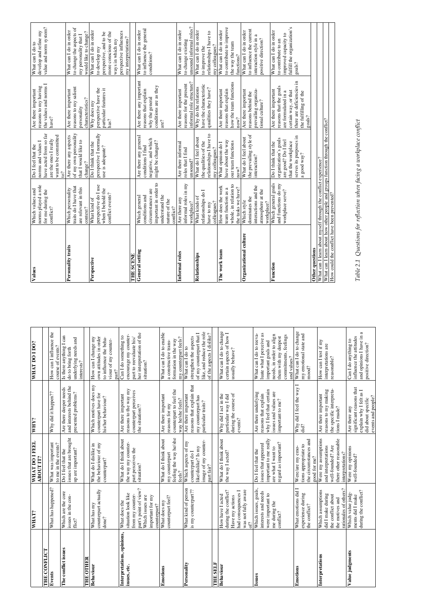|                                            | WHAT?                                                                                                           | WHAT DO I FEEL<br>ABOUT IT?                                                                                        | WHY?                                                                                                                 | <b>WHAT DO I DO?</b>                                                                                                                                                   | Values                                                                     |
|--------------------------------------------|-----------------------------------------------------------------------------------------------------------------|--------------------------------------------------------------------------------------------------------------------|----------------------------------------------------------------------------------------------------------------------|------------------------------------------------------------------------------------------------------------------------------------------------------------------------|----------------------------------------------------------------------------|
| THE CONFLICT                               |                                                                                                                 |                                                                                                                    |                                                                                                                      |                                                                                                                                                                        |                                                                            |
| Events                                     | What has happened?                                                                                              | What was important<br>to me in the events?                                                                         | Why did it happen??                                                                                                  | How can I influence the<br>course of events?                                                                                                                           |                                                                            |
| The conflict issues                        | Which are the core<br>issues in the con-<br>flict?                                                              | issues that are brought<br>up are important?<br>Do I feel that the                                                 | and interests behind the<br>Are there deeper needs<br>presented problems?                                            | Is there anything I can<br>underlying needs and<br>interests?<br>do to bring forth                                                                                     | Personality traits                                                         |
| <b>THE OTHER</b>                           |                                                                                                                 |                                                                                                                    |                                                                                                                      |                                                                                                                                                                        |                                                                            |
| Behaviour                                  | $\operatorname{counterpart}$ actually $\operatorname{donel}?$<br>What has my                                    | the behaviour of my<br>What do I dislike in<br>counterpart?                                                        | Which motives does my<br>counterpart have for<br>his/her behaviour?                                                  | How can I change my<br>own attitudes in order<br>to influence the beha-<br>viour of my counter-<br>part?                                                               | Perspective                                                                |
| Interpretations, opinions,<br>issues, etc. | situation look like<br>What does the                                                                            | What do I think about<br>the way my counter-                                                                       | reasons to the way my<br>Are there important                                                                         | encourage my counter-<br>Can I do something to                                                                                                                         |                                                                            |
|                                            | part's point of view?<br>from my counter-<br>Which issues are<br>important for my<br>counterpart?               | part perceives the<br>situation?                                                                                   | counterpart perceives<br>the situation??                                                                             | her interpretation of the<br>part to reevaluate his/<br>situation?                                                                                                     | General setting<br>THE SCENE                                               |
| Emotions                                   | counterpart feel?<br>What does my                                                                               | feeling the way he/she<br>What do I think about<br>my counterpart                                                  | counterpart to feel the<br>Are there important<br>reasons for my                                                     | What can I do to enable<br>formation in the way<br>a constructive trans-                                                                                               |                                                                            |
| Personality                                | What kind of person                                                                                             | Which aspects of my<br>feels?                                                                                      | Are there important<br>way he/she feels?                                                                             | my counterpart feels?<br>What can I do to                                                                                                                              | Informal roles                                                             |
|                                            | is my counterpart??                                                                                             | image of my counter-<br>part fair?<br>like/dislike? Is my<br>counterpart do I                                      | reasons that explain that<br>my counterpart has<br>particular traits?                                                | like, and reduce the role<br>of my counterpart that I<br>of the aspects I dislike?<br>strengthen the aspects                                                           | Relationships                                                              |
| THE SELF                                   |                                                                                                                 |                                                                                                                    |                                                                                                                      |                                                                                                                                                                        |                                                                            |
| Behaviour                                  | was not fully aware<br>during the conflict?<br>had consequences I<br>How have I acted<br>Have my actions<br>of? | What do I think about<br>the way I acted?                                                                          | Why did I act in the<br>during the course of<br>particular way I did<br>events?                                      | What can I do to change<br>certain aspects of how I<br>usually behave?                                                                                                 | Organizational cultur<br>The work team                                     |
| Issues                                     | Which issues, goals,<br>interests and needs<br>were important to<br>me during the<br>conflict?                  | important to me really<br>regard as important?<br>issues that appeared<br>are what I want to<br>Do I feel that the | why I feel that certain<br>Are there underlying<br>issues and values are<br>reasons that explain<br>important to me? | luate what I perceive as<br>What can I do to reeva-<br>needs, in order to align<br>commitments, feelings<br>them with my deepest<br>important goals and<br>and values? | Function                                                                   |
| Emotions                                   | What emotions did<br>experience during<br>the conflict?                                                         | the circumstances and<br>tions appropriate to<br>Were/are my emo-<br>good for me?                                  | Why did I feel the way<br>did?                                                                                       | What can I do to change<br>my emotional state and<br>$\text{mod}?\,$                                                                                                   | Other questions                                                            |
| Interpretations                            | rationales of others?<br>Which assumptions<br>did I make during<br>the conflict about<br>the motives and        | Were my assumptions<br>there other reasonable<br>and interpretations<br>well-founded? Are<br>interpretations?      | the specific interpreta-<br>reasons to my making<br>Are there important<br>tions I made?                             | How can I test if my<br>interpretations are<br>reasonable?                                                                                                             | What can I learn about<br>What can I learn about<br>How could the conflict |
| Value judgments                            | during the conflict?<br>Which value judg-<br>ments did I make                                                   | Were my opinions<br>well-founded?                                                                                  | significant reasons that<br>explain why I felt as I<br>events and people?<br>did about specific<br>Are there any     | and opinions I have in a<br>influence the attitudes<br>Can I do anything to<br>positive direction?                                                                     | Table 2.1 Question                                                         |

| Values                                                                                                                           | norms played a role<br>Which values and<br>for me during the<br>conflict?                                                     | have acted from so far<br>want to be committed<br>are the ones I really<br>norms and values I<br>Do I feel that the<br>10 <sup>2</sup> | the values and norms I<br>reasons to my having<br>Are there important<br>have?                                                                               | value and norm system?<br>develop and refine my<br>What can I do to                                                                                             |
|----------------------------------------------------------------------------------------------------------------------------------|-------------------------------------------------------------------------------------------------------------------------------|----------------------------------------------------------------------------------------------------------------------------------------|--------------------------------------------------------------------------------------------------------------------------------------------------------------|-----------------------------------------------------------------------------------------------------------------------------------------------------------------|
| Personality traits                                                                                                               | traits do I have that<br>are relevant in this<br>Which personality<br>context?                                                | of my own personality<br>Are there any aspects<br>that I would like to<br>change?                                                      | reasons to my salient<br>Are there important<br>characteristics?<br>personality                                                                              | to change the aspects of<br>What can I do in order<br>would like to change?<br>my personality that I                                                            |
| Perspective                                                                                                                      | perspective do I use<br>when I behold the<br>conflict events?<br>What kind of                                                 | perspective I normally<br>Do I think that the<br>use is adequate?                                                                      | perspective have the<br>particular features it<br>Why does my<br>has?                                                                                        | What can I do in order<br>perspective influences<br>more conscious of the<br>perspective, and to be<br>my interpretations?<br>ways in which my<br>to develop my |
| THE SCENE                                                                                                                        |                                                                                                                               |                                                                                                                                        |                                                                                                                                                              |                                                                                                                                                                 |
| General setting                                                                                                                  | important in order to<br>circumstances are<br>understand the<br>conditions and<br>Which general<br>nature of the<br>conflict? | Are there any general<br>negative, and which<br>might be changed?<br>conditions I find                                                 | Are there any important<br>conditions are as they<br>reasons that explain<br>why the general<br>$are?$                                                       | to influence the general<br>What can I do in order<br>conditions?                                                                                               |
| Informal roles                                                                                                                   | informal roles in my<br>Are there any<br>workplace?                                                                           | Are there informal<br>roles that I find<br>unsound?                                                                                    | informal role structure?<br>reasons for the present<br>Are there important                                                                                   | unsound informal roles?<br>What can I do in order<br>to change existing                                                                                         |
| Relationships                                                                                                                    | relationships do I<br>What kinds of<br>colleagues?<br>have to my                                                              | relationships I have to<br>What do I feel about<br>the qualities of the<br>my colleagues?                                              | have the characteristic<br>Why do the relations<br>quailities they have?                                                                                     | What can I do in order<br>relationships I have to<br>my colleagues?<br>to improve the                                                                           |
| The work team                                                                                                                    | whole, in relation to<br>How does the work<br>team function as a<br>the tasks we have?                                        | have about the way<br>our team functions<br>What opinion do I<br>now?                                                                  | how the team functions<br>reasons that explain<br>Are there important<br>now?                                                                                | to contribute to improve<br>What can I do in order<br>the way the team<br>functions?                                                                            |
| Organizational culture                                                                                                           | interactions and the<br>atmosphere at the<br>dominates the<br>Which style<br>workplace?                                       | the prevailing style of<br>What do I feel about<br>interaction?                                                                        | prevailing organiza-<br>tional culture?<br>Are there important<br>reasons behind the                                                                         | to influence the current<br>What can I do in order<br>interaction style in a<br>positive direction?                                                             |
| Function                                                                                                                         | Which general goals<br>and functions do my<br>workplace serve?                                                                | serves its purposes in<br>organization's goals<br>are good? Do I feel<br>that the workplace<br>Do I think that the<br>a good way?      | there are deficiencies in<br>reasons that the goals<br>Are there important<br>certain way, or that<br>are formulated in a<br>the fulfilling of the<br>goals? | fulfill the organization's<br>What can I do in order<br>improved capacity to<br>to contribute to an<br>goals?                                                   |
| Other questions                                                                                                                  |                                                                                                                               |                                                                                                                                        |                                                                                                                                                              |                                                                                                                                                                 |
| What can I learn about myself through the conflict experience?                                                                   |                                                                                                                               |                                                                                                                                        |                                                                                                                                                              |                                                                                                                                                                 |
| What can I learn about how other people and groups function through the conflict?<br>How could the conflict have been prevented? |                                                                                                                               |                                                                                                                                        |                                                                                                                                                              |                                                                                                                                                                 |

ms for reflection when facing a workplace conflict *Table 2.1 Questions for reflection when facing a workplace conflict*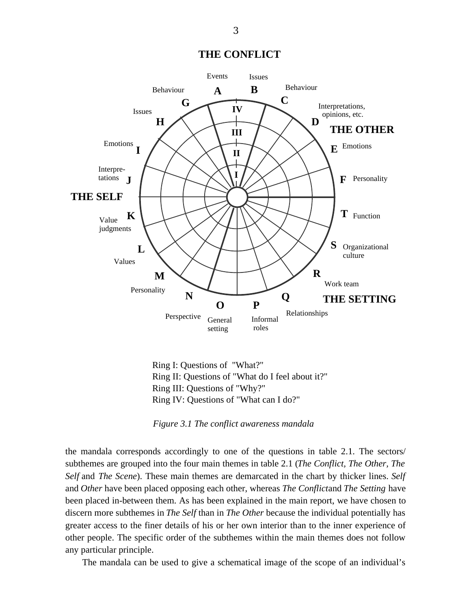**THE CONFLICT**



Ring I: Questions of "What?" Ring II: Questions of "What do I feel about it?" Ring III: Questions of "Why?" Ring IV: Questions of "What can I do?"

*Figure 3.1 The conflict awareness mandala*

the mandala corresponds accordingly to one of the questions in table 2.1. The sectors/ subthemes are grouped into the four main themes in table 2.1 (*The Conflict, The Other, The Self* and *The Scene*). These main themes are demarcated in the chart by thicker lines. *Self* and *Other* have been placed opposing each other, whereas *The Conflict*and *The Setting* have been placed in-between them. As has been explained in the main report, we have chosen to discern more subthemes in *The Self* than in *The Other* because the individual potentially has greater access to the finer details of his or her own interior than to the inner experience of other people. The specific order of the subthemes within the main themes does not follow any particular principle.

The mandala can be used to give a schematical image of the scope of an individual's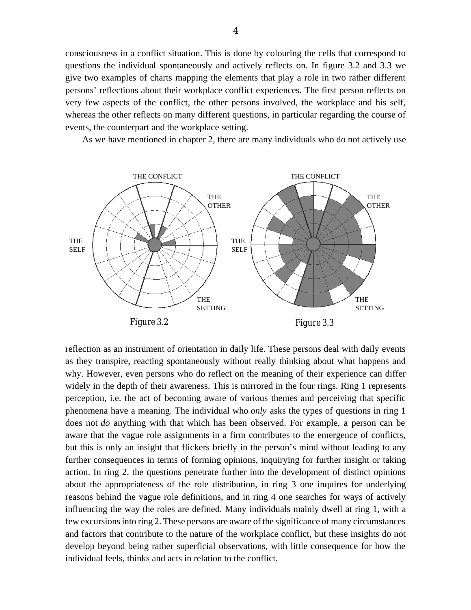consciousness in a conflict situation. This is done by colouring the cells that correspond to questions the individual spontaneously and actively reflects on. In figure 3.2 and 3.3 we give two examples of charts mapping the elements that play a role in two rather different persons' reflections about their workplace conflict experiences. The first person reflects on very few aspects of the conflict, the other persons involved, the workplace and his self, whereas the other reflects on many different questions, in particular regarding the course of events, the counterpart and the workplace setting.

As we have mentioned in chapter 2, there are many individuals who do not actively use



reflection as an instrument of orientation in daily life. These persons deal with daily events as they transpire, reacting spontaneously without really thinking about what happens and why. However, even persons who do reflect on the meaning of their experience can differ widely in the depth of their awareness. This is mirrored in the four rings. Ring 1 represents perception, i.e. the act of becoming aware of various themes and perceiving that specific phenomena have a meaning. The individual who *only* asks the types of questions in ring 1 does not *do* anything with that which has been observed. For example, a person can be aware that the vague role assignments in a firm contributes to the emergence of conflicts, but this is only an insight that flickers briefly in the person's mind without leading to any further consequences in terms of forming opinions, inquirying for further insight or taking action. In ring 2, the questions penetrate further into the development of distinct opinions about the appropriateness of the role distribution, in ring 3 one inquires for underlying reasons behind the vague role definitions, and in ring 4 one searches for ways of actively influencing the way the roles are defined. Many individuals mainly dwell at ring 1, with a few excursions into ring 2. These persons are aware of the significance of many circumstances and factors that contribute to the nature of the workplace conflict, but these insights do not develop beyond being rather superficial observations, with little consequence for how the individual feels, thinks and acts in relation to the conflict.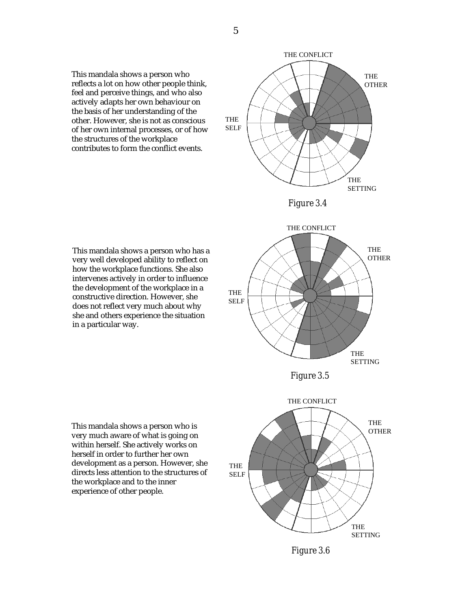This mandala shows a person who reflects a lot on how other people think, feel and perceive things, and who also actively adapts her own behaviour on the basis of her understanding of the other. However, she is not as conscious of her own internal processes, or of how the structures of the workplace contributes to form the conflict events.





This mandala shows a person who has a very well developed ability to reflect on how the workplace functions. She also intervenes actively in order to influence the development of the workplace in a constructive direction. However, she does not reflect very much about why she and others experience the situation in a particular way.





This mandala shows a person who is very much aware of what is going on within herself. She actively works on herself in order to further her own development as a person. However, she directs less attention to the structures of the workplace and to the inner experience of other people.



*Figure 3.6*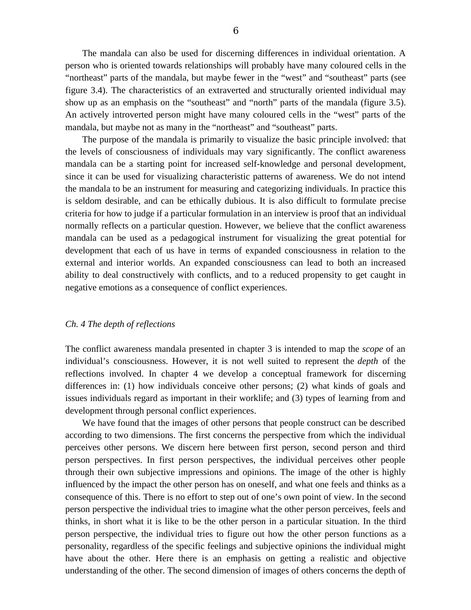The mandala can also be used for discerning differences in individual orientation. A person who is oriented towards relationships will probably have many coloured cells in the "northeast" parts of the mandala, but maybe fewer in the "west" and "southeast" parts (see figure 3.4). The characteristics of an extraverted and structurally oriented individual may show up as an emphasis on the "southeast" and "north" parts of the mandala (figure 3.5). An actively introverted person might have many coloured cells in the "west" parts of the mandala, but maybe not as many in the "northeast" and "southeast" parts.

The purpose of the mandala is primarily to visualize the basic principle involved: that the levels of consciousness of individuals may vary significantly. The conflict awareness mandala can be a starting point for increased self-knowledge and personal development, since it can be used for visualizing characteristic patterns of awareness. We do not intend the mandala to be an instrument for measuring and categorizing individuals. In practice this is seldom desirable, and can be ethically dubious. It is also difficult to formulate precise criteria for how to judge if a particular formulation in an interview is proof that an individual normally reflects on a particular question. However, we believe that the conflict awareness mandala can be used as a pedagogical instrument for visualizing the great potential for development that each of us have in terms of expanded consciousness in relation to the external and interior worlds. An expanded consciousness can lead to both an increased ability to deal constructively with conflicts, and to a reduced propensity to get caught in negative emotions as a consequence of conflict experiences.

#### *Ch. 4 The depth of reflections*

The conflict awareness mandala presented in chapter 3 is intended to map the *scope* of an individual's consciousness. However, it is not well suited to represent the *depth* of the reflections involved. In chapter 4 we develop a conceptual framework for discerning differences in: (1) how individuals conceive other persons; (2) what kinds of goals and issues individuals regard as important in their worklife; and (3) types of learning from and development through personal conflict experiences.

We have found that the images of other persons that people construct can be described according to two dimensions. The first concerns the perspective from which the individual perceives other persons. We discern here between first person, second person and third person perspectives. In first person perspectives, the individual perceives other people through their own subjective impressions and opinions. The image of the other is highly influenced by the impact the other person has on oneself, and what one feels and thinks as a consequence of this. There is no effort to step out of one's own point of view. In the second person perspective the individual tries to imagine what the other person perceives, feels and thinks, in short what it is like to be the other person in a particular situation. In the third person perspective, the individual tries to figure out how the other person functions as a personality, regardless of the specific feelings and subjective opinions the individual might have about the other. Here there is an emphasis on getting a realistic and objective understanding of the other. The second dimension of images of others concerns the depth of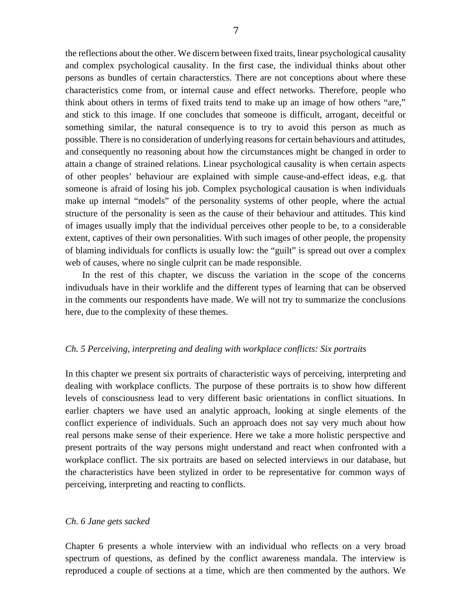the reflections about the other. We discern between fixed traits, linear psychological causality and complex psychological causality. In the first case, the individual thinks about other persons as bundles of certain characterstics. There are not conceptions about where these characteristics come from, or internal cause and effect networks. Therefore, people who think about others in terms of fixed traits tend to make up an image of how others "are," and stick to this image. If one concludes that someone is difficult, arrogant, deceitful or something similar, the natural consequence is to try to avoid this person as much as possible. There is no consideration of underlying reasons for certain behaviours and attitudes, and consequently no reasoning about how the circumstances might be changed in order to attain a change of strained relations. Linear psychological causality is when certain aspects of other peoples' behaviour are explained with simple cause-and-effect ideas, e.g. that someone is afraid of losing his job. Complex psychological causation is when individuals make up internal "models" of the personality systems of other people, where the actual structure of the personality is seen as the cause of their behaviour and attitudes. This kind of images usually imply that the individual perceives other people to be, to a considerable extent, captives of their own personalities. With such images of other people, the propensity of blaming individuals for conflicts is usually low: the "guilt" is spread out over a complex web of causes, where no single culprit can be made responsible.

In the rest of this chapter, we discuss the variation in the scope of the concerns indivuduals have in their worklife and the different types of learning that can be observed in the comments our respondents have made. We will not try to summarize the conclusions here, due to the complexity of these themes.

### *Ch. 5 Perceiving, interpreting and dealing with workplace conflicts: Six portraits*

In this chapter we present six portraits of characteristic ways of perceiving, interpreting and dealing with workplace conflicts. The purpose of these portraits is to show how different levels of consciousness lead to very different basic orientations in conflict situations. In earlier chapters we have used an analytic approach, looking at single elements of the conflict experience of individuals. Such an approach does not say very much about how real persons make sense of their experience. Here we take a more holistic perspective and present portraits of the way persons might understand and react when confronted with a workplace conflict. The six portraits are based on selected interviews in our database, but the characteristics have been stylized in order to be representative for common ways of perceiving, interpreting and reacting to conflicts.

#### *Ch. 6 Jane gets sacked*

Chapter 6 presents a whole interview with an individual who reflects on a very broad spectrum of questions, as defined by the conflict awareness mandala. The interview is reproduced a couple of sections at a time, which are then commented by the authors. We